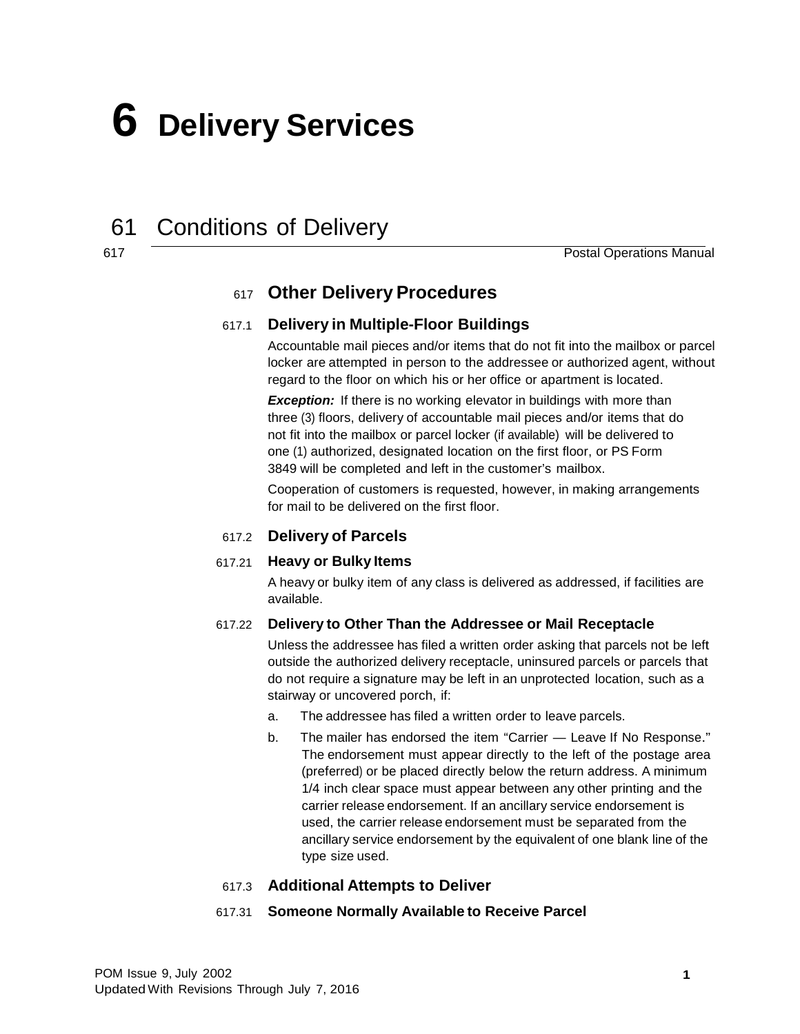# **6 Delivery Services**

## 61 Conditions of Delivery

617

Postal Operations Manual

### 617 **Other Delivery Procedures**

#### 617.1 **Delivery in Multiple-Floor Buildings**

Accountable mail pieces and/or items that do not fit into the mailbox or parcel locker are attempted in person to the addressee or authorized agent, without regard to the floor on which his or her office or apartment is located.

**Exception:** If there is no working elevator in buildings with more than three (3) floors, delivery of accountable mail pieces and/or items that do not fit into the mailbox or parcel locker (if available) will be delivered to one (1) authorized, designated location on the first floor, or PS Form 3849 will be completed and left in the customer's mailbox.

Cooperation of customers is requested, however, in making arrangements for mail to be delivered on the first floor.

#### 617.2 **Delivery of Parcels**

#### 617.21 **Heavy or Bulky Items**

A heavy or bulky item of any class is delivered as addressed, if facilities are available.

#### 617.22 **Delivery to Other Than the Addressee or Mail Receptacle**

Unless the addressee has filed a written order asking that parcels not be left outside the authorized delivery receptacle, uninsured parcels or parcels that do not require a signature may be left in an unprotected location, such as a stairway or uncovered porch, if:

- a. The addressee has filed a written order to leave parcels.
- b. The mailer has endorsed the item "Carrier Leave If No Response." The endorsement must appear directly to the left of the postage area (preferred) or be placed directly below the return address. A minimum 1/4 inch clear space must appear between any other printing and the carrier release endorsement. If an ancillary service endorsement is used, the carrier release endorsement must be separated from the ancillary service endorsement by the equivalent of one blank line of the type size used.

#### 617.3 **Additional Attempts to Deliver**

#### 617.31 **Someone Normally Available to Receive Parcel**